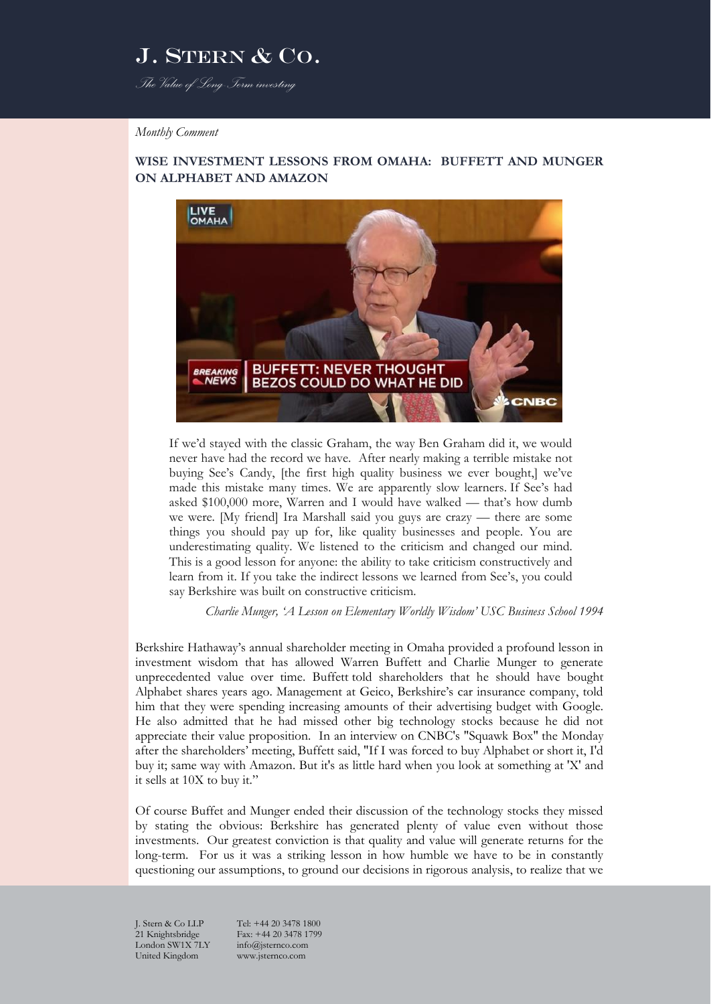*The Value of Long-Term investing*

#### *Monthly Comment*

### **WISE INVESTMENT LESSONS FROM OMAHA: BUFFETT AND MUNGER ON ALPHABET AND AMAZON**



If we'd stayed with the classic Graham, the way Ben Graham did it, we would never have had the record we have. After nearly making a terrible mistake not buying See's Candy, [the first high quality business we ever bought,] we've made this mistake many times. We are apparently slow learners. If See's had asked \$100,000 more, Warren and I would have walked — that's how dumb we were. [My friend] Ira Marshall said you guys are crazy — there are some things you should pay up for, like quality businesses and people. You are underestimating quality. We listened to the criticism and changed our mind. This is a good lesson for anyone: the ability to take criticism constructively and learn from it. If you take the indirect lessons we learned from See's, you could say Berkshire was built on constructive criticism.

*Charlie Munger, 'A Lesson on Elementary Worldly Wisdom' USC Business School 1994*

Berkshire Hathaway's annual shareholder meeting in Omaha provided a profound lesson in investment wisdom that has allowed Warren Buffett and Charlie Munger to generate unprecedented value over time. [Buffett](http://www.cnbc.com/warren-buffett/) told shareholders that he should have bought Alphabet shares years ago. Management at Geico, Berkshire's car insurance company, told him that they were spending increasing amounts of their advertising budget with Google. He also admitted that he had missed other big technology stocks because he did not appreciate their value proposition. In an interview on CNBC's ["Squawk Box"](http://www.cnbc.com/squawk-box-us/) the Monday after the shareholders' meeting, Buffett said, "If I was forced to buy Alphabet or short it, I'd buy it; same way with [Amazon.](http://data.cnbc.com/quotes/AMZN) But it's as little hard when you look at something at 'X' and it sells at 10X to buy it."

Of course Buffet and Munger ended their discussion of the technology stocks they missed by stating the obvious: Berkshire has generated plenty of value even without those investments. Our greatest conviction is that quality and value will generate returns for the long-term. For us it was a striking lesson in how humble we have to be in constantly questioning our assumptions, to ground our decisions in rigorous analysis, to realize that we

London SW1X  $7LY$ United Kingdom www.jsternco.com

J. Stern & Co LLP Tel: +44 20 3478 1800<br>21 Knightsbridge Fax: +44 20 3478 1799 Fax: +44 20 3478 1799<br>info@isternco.com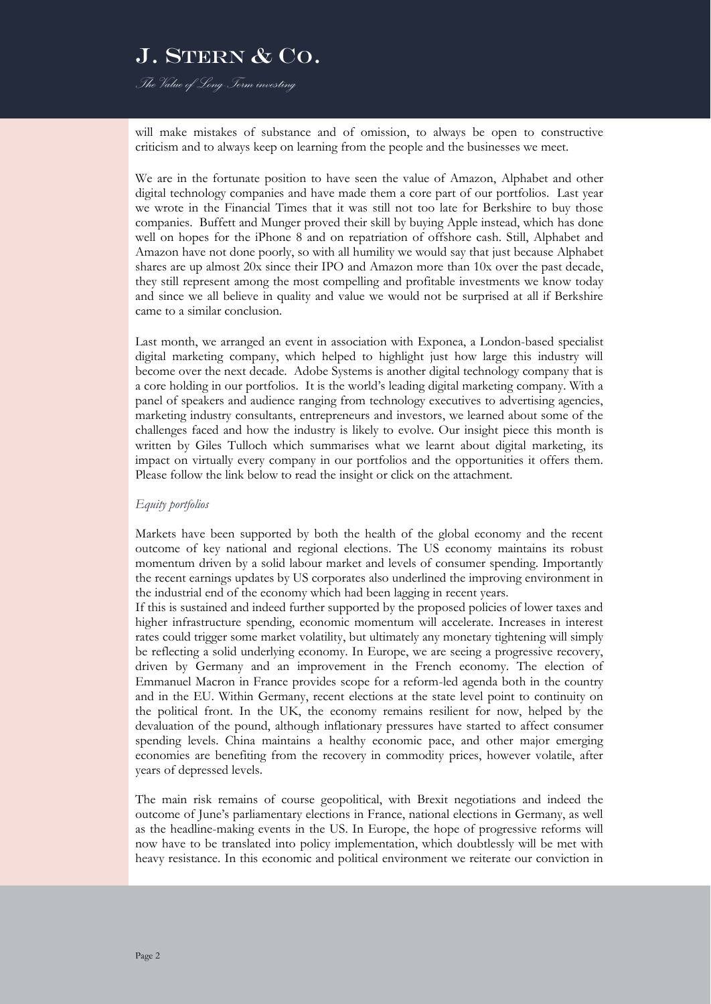*The Value of Long-Term investing*

will make mistakes of substance and of omission, to always be open to constructive criticism and to always keep on learning from the people and the businesses we meet.

We are in the fortunate position to have seen the value of Amazon, Alphabet and other digital technology companies and have made them a core part of our portfolios. Last year we wrote in the Financial Times that it was still not too late for Berkshire to buy those companies. Buffett and Munger proved their skill by buying Apple instead, which has done well on hopes for the iPhone 8 and on repatriation of offshore cash. Still, Alphabet and Amazon have not done poorly, so with all humility we would say that just because Alphabet shares are up almost 20x since their IPO and Amazon more than 10x over the past decade, they still represent among the most compelling and profitable investments we know today and since we all believe in quality and value we would not be surprised at all if Berkshire came to a similar conclusion.

Last month, we arranged an event in association with Exponea, a London-based specialist digital marketing company, which helped to highlight just how large this industry will become over the next decade. Adobe Systems is another digital technology company that is a core holding in our portfolios. It is the world's leading digital marketing company. With a panel of speakers and audience ranging from technology executives to advertising agencies, marketing industry consultants, entrepreneurs and investors, we learned about some of the challenges faced and how the industry is likely to evolve. Our insight piece this month is written by Giles Tulloch which summarises what we learnt about digital marketing, its impact on virtually every company in our portfolios and the opportunities it offers them. Please follow the link below to read the insight or click on the attachment.

#### *Equity portfolios*

Markets have been supported by both the health of the global economy and the recent outcome of key national and regional elections. The US economy maintains its robust momentum driven by a solid labour market and levels of consumer spending. Importantly the recent earnings updates by US corporates also underlined the improving environment in the industrial end of the economy which had been lagging in recent years.

If this is sustained and indeed further supported by the proposed policies of lower taxes and higher infrastructure spending, economic momentum will accelerate. Increases in interest rates could trigger some market volatility, but ultimately any monetary tightening will simply be reflecting a solid underlying economy. In Europe, we are seeing a progressive recovery, driven by Germany and an improvement in the French economy. The election of Emmanuel Macron in France provides scope for a reform-led agenda both in the country and in the EU. Within Germany, recent elections at the state level point to continuity on the political front. In the UK, the economy remains resilient for now, helped by the devaluation of the pound, although inflationary pressures have started to affect consumer spending levels. China maintains a healthy economic pace, and other major emerging economies are benefiting from the recovery in commodity prices, however volatile, after years of depressed levels.

The main risk remains of course geopolitical, with Brexit negotiations and indeed the outcome of June's parliamentary elections in France, national elections in Germany, as well as the headline-making events in the US. In Europe, the hope of progressive reforms will now have to be translated into policy implementation, which doubtlessly will be met with heavy resistance. In this economic and political environment we reiterate our conviction in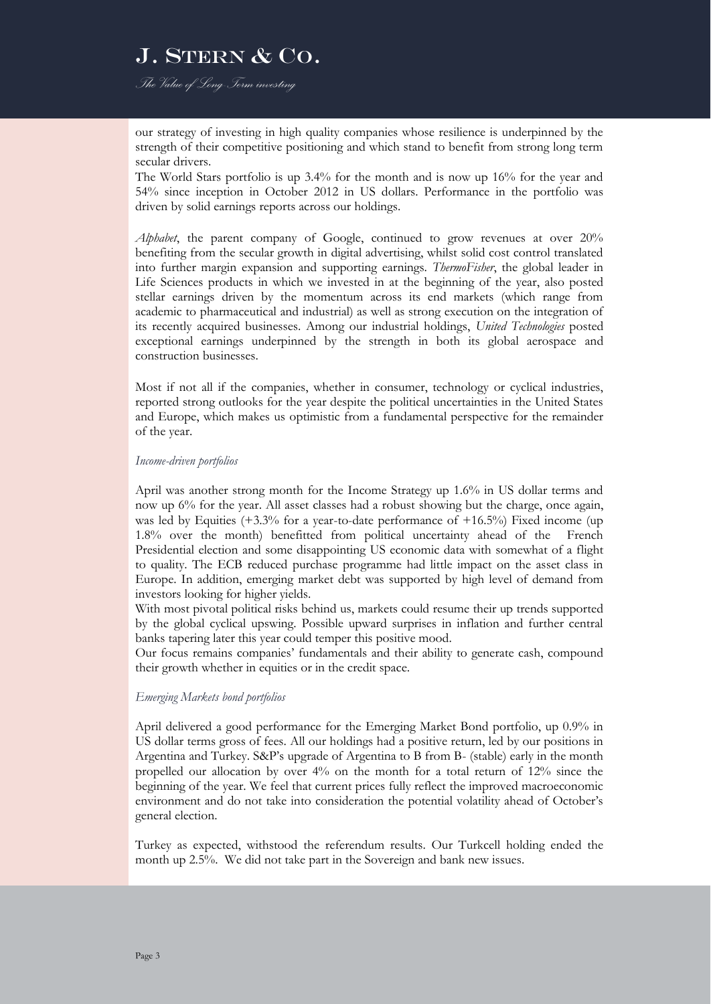*The Value of Long-Term investing*

our strategy of investing in high quality companies whose resilience is underpinned by the strength of their competitive positioning and which stand to benefit from strong long term secular drivers.

The World Stars portfolio is up 3.4% for the month and is now up 16% for the year and 54% since inception in October 2012 in US dollars. Performance in the portfolio was driven by solid earnings reports across our holdings.

*Alphabet*, the parent company of Google, continued to grow revenues at over 20% benefiting from the secular growth in digital advertising, whilst solid cost control translated into further margin expansion and supporting earnings. *ThermoFisher*, the global leader in Life Sciences products in which we invested in at the beginning of the year, also posted stellar earnings driven by the momentum across its end markets (which range from academic to pharmaceutical and industrial) as well as strong execution on the integration of its recently acquired businesses. Among our industrial holdings, *United Technologies* posted exceptional earnings underpinned by the strength in both its global aerospace and construction businesses.

Most if not all if the companies, whether in consumer, technology or cyclical industries, reported strong outlooks for the year despite the political uncertainties in the United States and Europe, which makes us optimistic from a fundamental perspective for the remainder of the year.

#### *Income-driven portfolios*

April was another strong month for the Income Strategy up 1.6% in US dollar terms and now up 6% for the year. All asset classes had a robust showing but the charge, once again, was led by Equities (+3.3% for a year-to-date performance of +16.5%) Fixed income (up 1.8% over the month) benefitted from political uncertainty ahead of the French Presidential election and some disappointing US economic data with somewhat of a flight to quality. The ECB reduced purchase programme had little impact on the asset class in Europe. In addition, emerging market debt was supported by high level of demand from investors looking for higher yields.

With most pivotal political risks behind us, markets could resume their up trends supported by the global cyclical upswing. Possible upward surprises in inflation and further central banks tapering later this year could temper this positive mood.

Our focus remains companies' fundamentals and their ability to generate cash, compound their growth whether in equities or in the credit space.

#### *Emerging Markets bond portfolios*

April delivered a good performance for the Emerging Market Bond portfolio, up 0.9% in US dollar terms gross of fees. All our holdings had a positive return, led by our positions in Argentina and Turkey. S&P's upgrade of Argentina to B from B- (stable) early in the month propelled our allocation by over 4% on the month for a total return of 12% since the beginning of the year. We feel that current prices fully reflect the improved macroeconomic environment and do not take into consideration the potential volatility ahead of October's general election.

Turkey as expected, withstood the referendum results. Our Turkcell holding ended the month up 2.5%. We did not take part in the Sovereign and bank new issues.